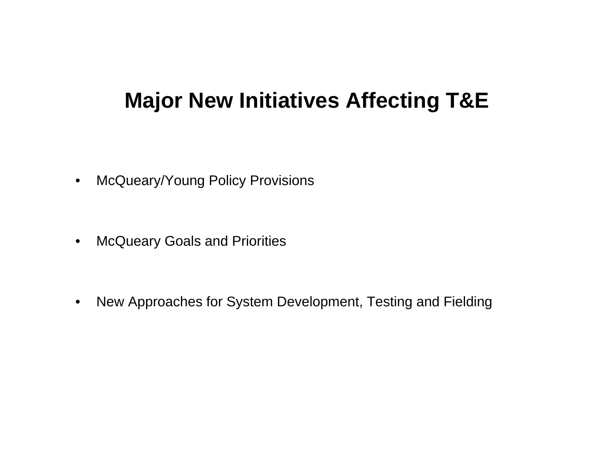### **Major New Initiatives Affecting T&E**

 $\bullet$ McQueary/Young Policy Provisions

•McQueary Goals and Priorities

 $\bullet$ New Approaches for System Development, Testing and Fielding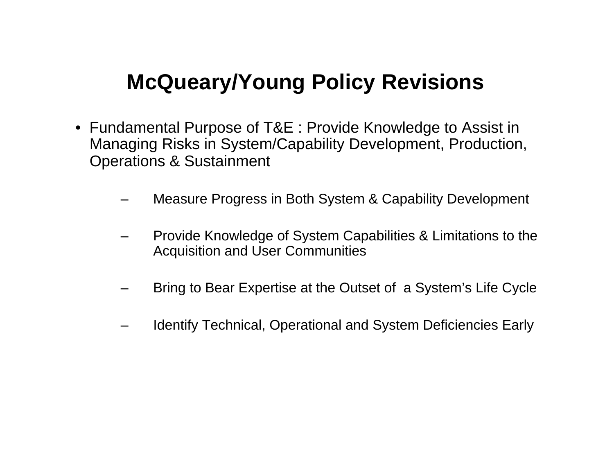## **McQueary/Young Policy Revisions**

- Fundamental Purpose of T&E : Provide Knowledge to Assist in Managing Risks in System/Capability Development, Production, Operations & Sustainment
	- –Measure Progress in Both System & Capability Development
	- – Provide Knowledge of System Capabilities & Limitations to the Acquisition and User Communities
	- –Bring to Bear Expertise at the Outset of a System's Life Cycle
	- –Identify Technical, Operational and System Deficiencies Early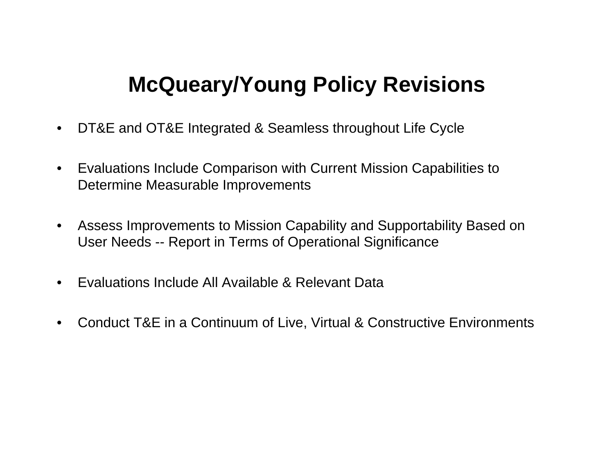# **McQueary/Young Policy Revisions**

- $\bullet$ DT&E and OT&E Integrated & Seamless throughout Life Cycle
- $\bullet$  Evaluations Include Comparison with Current Mission Capabilities to Determine Measurable Improvements
- $\bullet$  Assess Improvements to Mission Capability and Supportability Based on User Needs -- Report in Terms of Operational Significance
- •Evaluations Include All Available & Relevant Data
- •Conduct T&E in a Continuum of Live, Virtual & Constructive Environments